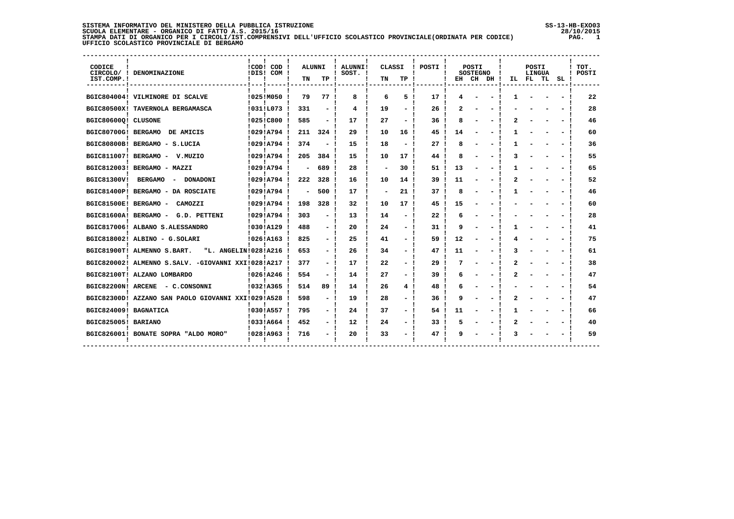# **SISTEMA INFORMATIVO DEL MINISTERO DELLA PUBBLICA ISTRUZIONE SS-13-HB-EXO03**SCUOLA ELEMENTARE - ORGANICO DI FATTO A.S. 2015/16<br>STAMPA DATI DIORGANICO PER I CIRCOLI/IST.COMPRENSIVI DELL'UFFICIO SCOLASTICO PROVINCIALE(ORDINATA PER CODICE)<br>UFFICIO SCOLASTICO PROVINCIALE DI BERGAMO

| CODICE<br>IST.COMP.!  | CIRCOLO/ ! DENOMINAZIONE                                      | !COD! COD<br>!DIS! COM ! | <b>ALUNNI</b><br>TN | TP             | ALUNNI!<br>SOST. ! | CLASSI<br>TN | TP | POSTI |    | POSTI<br><b>SOSTEGNO</b> | EH CH DH ! | IL | <b>POSTI</b><br><b>LINGUA</b><br>FL TL | SL. | TOT.<br>POSTI |
|-----------------------|---------------------------------------------------------------|--------------------------|---------------------|----------------|--------------------|--------------|----|-------|----|--------------------------|------------|----|----------------------------------------|-----|---------------|
|                       | BGIC804004! VILMINORE DI SCALVE                               | 1025!M050                | 79                  | 77!            | 8                  | 6            | 5. | 17    |    |                          |            |    |                                        |     | 22            |
|                       | BGIC80500X! TAVERNOLA BERGAMASCA                              | !031!L073                | 331                 |                | 4                  | 19           |    | 26    |    |                          |            |    |                                        |     | 28            |
| BGIC80600Q! CLUSONE   |                                                               | 10251C800                | 585                 | - !            | 17                 | 27           |    | 36    | 8  |                          |            |    |                                        |     | 46            |
| BGIC80700G! BERGAMO   | DE AMICIS                                                     | 10291A794                | 211                 | 324 I          | 29                 | 10           | 16 | 45    | 14 |                          |            |    |                                        |     | 60            |
|                       | BGIC80800B! BERGAMO - S.LUCIA                                 | !029!A794                | 374                 |                | 15                 | 18           |    | 27    | 8  |                          |            |    |                                        |     | 36            |
| BGIC811007! BERGAMO - | V.MUZIO                                                       | 10291A794                | 205                 | 384 !          | 15                 | 10           | 17 | 44    |    |                          |            |    |                                        |     | 55            |
|                       | BGIC812003! BERGAMO - MAZZI                                   | 10291A794                |                     | 689            | 28                 |              | 30 | 51    | 13 |                          |            |    |                                        |     | 65            |
| BGIC81300V!           | <b>BERGAMO</b><br><b>DONADONI</b><br>$\overline{\phantom{a}}$ | !029!A794                | 222                 | 328            | 16                 | 10           | 14 | 39    | 11 |                          |            |    |                                        |     | 52            |
|                       | BGIC81400P! BERGAMO - DA ROSCIATE                             | !029!A794!               |                     | 500            | 17                 |              | 21 | 37    | 8  |                          |            |    |                                        |     | 46            |
| BGIC81500E! BERGAMO - | CAMOZZI                                                       | !029!A794                | 198                 | 328            | 32                 | 10           | 17 | 45    | 15 |                          |            |    |                                        |     | 60            |
| BGIC81600A! BERGAMO - | G.D. PETTENI                                                  | 10291A794                | 303                 |                | 13                 | 14           |    | 22    |    |                          |            |    |                                        |     | 28            |
|                       | BGIC817006! ALBANO S.ALESSANDRO                               | !030!A129                | 488                 | - !            | 20                 | 24           |    | 31    | q  |                          |            |    |                                        |     | 41            |
|                       | BGIC818002! ALBINO - G.SOLARI                                 | 1026!A163                | 825                 |                | 25                 | 41           |    | 59    | 12 |                          |            |    |                                        |     | 75            |
|                       | "L. ANGELIN!028!A216<br>BGIC81900T! ALMENNO S.BART.           |                          | 653                 | $\sim$         | 26                 | 34           |    | 47    | 11 |                          |            |    |                                        |     | 61            |
|                       | BGIC820002! ALMENNO S.SALV. -GIOVANNI XXI!028!A217            |                          | 377                 |                | 17                 | 22           |    | 29    |    |                          |            |    |                                        |     | 38            |
|                       | BGIC82100T! ALZANO LOMBARDO                                   | !026!A246                | 554                 | $\blacksquare$ | 14                 | 27           |    | 39    |    |                          |            |    |                                        |     | 47            |
| BGIC82200N! ARCENE    | - C.CONSONNI                                                  | 10321A365                | 514                 | 89             | 14                 | 26           | 4  | 48    |    |                          |            |    |                                        |     | 54            |
|                       | BGIC82300D! AZZANO SAN PAOLO GIOVANNI XXI!029!A528            |                          | 598                 | $\blacksquare$ | 19                 | 28           |    | 36    | a  |                          |            |    |                                        |     | 47            |
| BGIC824009! BAGNATICA |                                                               | 10301A557                | 795                 | - !            | 24                 | 37           | -  | 54    | 11 |                          |            |    |                                        |     | 66            |
| BGIC825005! BARIANO   |                                                               | 10331A664                | 452                 |                | 12                 | 24           |    | 33    |    |                          |            |    |                                        |     | 40            |
|                       | BGIC826001! BONATE SOPRA "ALDO MORO"                          | 10281A963                | 716                 |                | 20                 | 33           |    | 47    | a  |                          |            |    |                                        |     | 59            |
|                       |                                                               |                          |                     |                |                    |              |    |       |    |                          |            |    |                                        |     |               |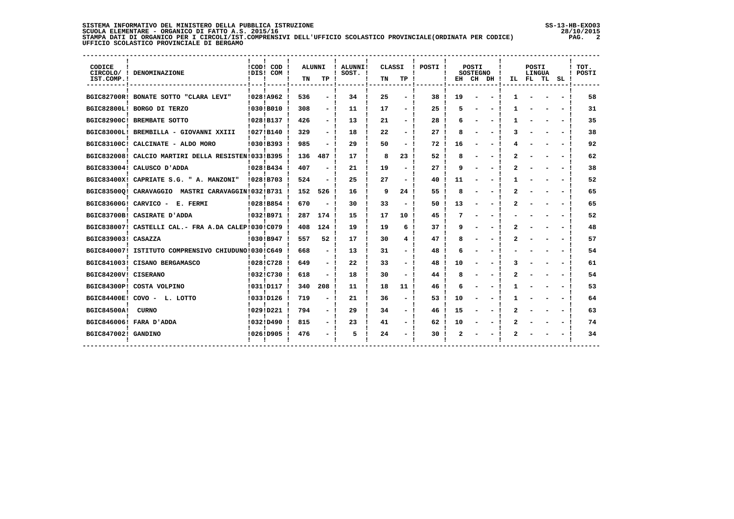### **SISTEMA INFORMATIVO DEL MINISTERO DELLA PUBBLICA ISTRUZIONE SS-13-HB-EXO03 SCUOLA ELEMENTARE - ORGANICO DI FATTO A.S. 2015/16 28/10/2015 STAMPA DATI DI ORGANICO PER I CIRCOLI/IST.COMPRENSIVI DELL'UFFICIO SCOLASTICO PROVINCIALE(ORDINATA PER CODICE) PAG. 2 UFFICIO SCOLASTICO PROVINCIALE DI BERGAMO**

j

| CODICE<br>IST.COMP.! | CIRCOLO/ ! DENOMINAZIONE                           | ! COD! COD!<br>IDIS! COM ! | ALUNNI<br>TN | TP                       | ALUNNI!<br>$!$ SOST. $!$ | CLASSI<br>TN | TP              | POSTI ! |    | POSTI<br><b>SOSTEGNO</b> | EH CH DH ! |   | POSTI<br>LINGUA<br>IL FL TL | SL | TOT.<br>POSTI |
|----------------------|----------------------------------------------------|----------------------------|--------------|--------------------------|--------------------------|--------------|-----------------|---------|----|--------------------------|------------|---|-----------------------------|----|---------------|
|                      | BGIC82700R! BONATE SOTTO "CLARA LEVI"              | 10281A962                  | 536          | $\overline{\phantom{a}}$ | 34                       | 25           |                 | 38      | 19 |                          |            |   |                             |    | 58            |
|                      | BGIC82800L! BORGO DI TERZO                         | !030!B010                  | 308          |                          | 11                       | 17           |                 | 25      |    |                          |            |   |                             |    | 31            |
|                      | BGIC82900C! BREMBATE SOTTO                         | !028!B137                  | 426          | $-1$                     | 13                       | 21           |                 | 28      | h  |                          |            |   |                             |    | 35            |
|                      | BGIC83000L! BREMBILLA - GIOVANNI XXIII             | !027!B140                  | 329          |                          | 18                       | 22           |                 | 27      |    |                          |            |   |                             |    | 38            |
|                      | BGIC83100C! CALCINATE - ALDO MORO                  | 10301B393                  | 985          |                          | 29                       | 50           |                 | 72      | 16 |                          |            |   |                             |    | 92            |
|                      | BGIC832008! CALCIO MARTIRI DELLA RESISTEN!033!B395 |                            | 136          | 487                      | 17                       | 8            | 23              | 52      |    |                          |            |   |                             |    | 62            |
|                      | BGIC833004! CALUSCO D'ADDA                         | 10281B434                  | 407          | $\overline{\phantom{a}}$ | 21                       | 19           |                 | 27      | q  |                          |            | 2 |                             |    | 38            |
|                      | BGIC83400X! CAPRIATE S.G. " A. MANZONI"            | !028!B703                  | 524          |                          | 25                       | 27           |                 | 40      | 11 |                          |            |   |                             |    | 52            |
|                      | BGIC835000! CARAVAGGIO MASTRI CARAVAGGIN!032!B731  |                            | 152          | 526                      | 16                       | 9            | 24              | 55      | я  |                          |            |   |                             |    | 65            |
|                      | BGIC83600G! CARVICO - E. FERMI                     | 10281B854                  | 670          |                          | 30                       | 33           |                 | 50      | 13 |                          |            |   |                             |    | 65            |
|                      | BGIC83700B! CASIRATE D'ADDA                        | 10321B971                  | 287          | 174                      | 15                       | 17           | 10              | 45      |    |                          |            |   |                             |    | 52            |
|                      | BGIC838007! CASTELLI CAL.- FRA A.DA CALEP!030!C079 |                            | 408          | 124                      | 19                       | 19           | 6               | 37      | q  |                          |            |   |                             |    | 48            |
| BGIC839003! CASAZZA  |                                                    | !030!B947                  | 557          | 52                       | 17                       | 30           |                 | 47      |    |                          |            |   |                             |    | 57            |
|                      | BGIC840007! ISTITUTO COMPRENSIVO CHIUDUNO!030!C649 |                            | 668          |                          | 13                       | 31           |                 | 48      |    |                          |            |   |                             |    | 54            |
|                      | BGIC841003! CISANO BERGAMASCO                      | !028!C728                  | 649          |                          | 22                       | 33           |                 | 48      | 10 |                          |            |   |                             |    | 61            |
| BGIC84200V! CISERANO |                                                    | !032!C730                  | 618          |                          | 18                       | 30           |                 | 44      |    |                          |            |   |                             |    | 54            |
|                      | BGIC84300P! COSTA VOLPINO                          | !031!D117                  | 340          | 208                      | 11                       | 18           | 11 <sub>1</sub> | 46      |    |                          |            |   |                             |    | 53            |
|                      | BGIC84400E! COVO - L. LOTTO                        | !033!D126                  | 719          | $\blacksquare$           | 21                       | 36           |                 | 53      | 10 |                          |            |   |                             |    | 64            |
| <b>BGIC84500A!</b>   | <b>CURNO</b>                                       | !029!D221                  | 794          |                          | 29                       | 34           |                 | 46      | 15 |                          |            | 2 |                             |    | 63            |
|                      | BGIC846006! FARA D'ADDA                            | !032!D490                  | 815          | $\overline{\phantom{a}}$ | 23                       | 41           |                 | 62      | 10 |                          |            |   |                             |    | 74            |
| BGIC847002! GANDINO  |                                                    | 10261D905                  | 476          |                          | 5                        | 24           |                 | 30      |    |                          |            |   |                             |    | 34            |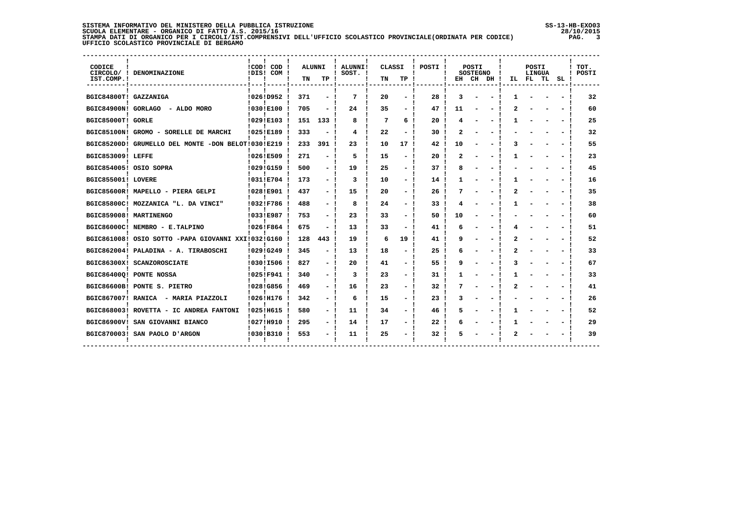# **SISTEMA INFORMATIVO DEL MINISTERO DELLA PUBBLICA ISTRUZIONE SS-13-HB-EXO03**SCUOLA ELEMENTARE - ORGANICO DI FATTO A.S. 2015/16<br>STAMPA DATI DIORGANICO PER I CIRCOLI/IST.COMPRENSIVI DELL'UFFICIO SCOLASTICO PROVINCIALE(ORDINATA PER CODICE)<br>UFFICIO SCOLASTICO PROVINCIALE DI BERGAMO

| CODICE<br>IST.COMP.!  | CIRCOLO/ ! DENOMINAZIONE                           | !COD! COD<br>IDIS! COM ! | TN  | ALUNNI<br>TP             | ALUNNI!<br>$!$ SOST. $!$ | <b>CLASSI</b><br>TN | TP  | POSTI ! |    | POSTI<br><b>SOSTEGNO</b> | EH CH DH! | IL. | <b>POSTI</b><br>LINGUA<br>FL TL | SL | TOT.<br>POSTI |
|-----------------------|----------------------------------------------------|--------------------------|-----|--------------------------|--------------------------|---------------------|-----|---------|----|--------------------------|-----------|-----|---------------------------------|----|---------------|
| BGIC84800T! GAZZANIGA |                                                    | !026!D952                | 371 |                          | 7                        | 20                  |     | 28      | З  |                          |           |     |                                 |    | 32            |
| BGIC84900N! GORLAGO   | - ALDO MORO                                        | !030!E100                | 705 |                          | 24                       | 35                  |     | 47      | 11 |                          |           |     |                                 |    | 60            |
| BGIC85000T! GORLE     |                                                    | !029!E103                | 151 | 133                      | 8                        | 7                   | 6   | 20      |    |                          |           |     |                                 |    | 25            |
|                       | BGIC85100N! GROMO - SORELLE DE MARCHI              | !025!E189                | 333 |                          | 4                        | 22                  |     | 30      |    |                          |           |     |                                 |    | 32            |
|                       | BGIC85200D! GRUMELLO DEL MONTE -DON BELOT!030!E219 |                          | 233 | 391                      | 23                       | 10                  | 17! | 42      | 10 |                          |           |     |                                 |    | 55            |
| BGIC853009! LEFFE     |                                                    | 10261E509                | 271 |                          | 5                        | 15                  |     | 20      |    |                          |           |     |                                 |    | 23            |
|                       | BGIC854005! OSIO SOPRA                             | !029!G159                | 500 | $\overline{\phantom{a}}$ | 19                       | 25                  |     | 37      |    |                          |           |     |                                 |    | 45            |
| BGIC855001! LOVERE    |                                                    | !031!E704                | 173 |                          | 3                        | 10                  |     | 14      |    |                          |           |     |                                 |    | 16            |
|                       | BGIC85600R! MAPELLO - PIERA GELPI                  | !028!E901                | 437 | $\overline{\phantom{a}}$ | 15                       | 20                  |     | 26      |    |                          |           |     |                                 |    | 35            |
|                       | BGIC85800C! MOZZANICA "L. DA VINCI"                | !032!F786                | 488 |                          | 8                        | 24                  |     | 33      |    |                          |           |     |                                 |    | 38            |
|                       | BGIC859008! MARTINENGO                             | 10331E987                | 753 |                          | 23                       | 33                  |     | 50      | 10 |                          |           |     |                                 |    | 60            |
|                       | BGIC86000C! NEMBRO - E.TALPINO                     | !026!F864                | 675 | $\overline{\phantom{0}}$ | 13                       | 33                  |     | 41      | 6  |                          |           |     |                                 |    | 51            |
|                       | BGIC861008! OSIO SOTTO -PAPA GIOVANNI XXI!032!G160 |                          | 128 | 443                      | 19                       | 6                   | 19  | 41      |    |                          |           |     |                                 |    | 52            |
|                       | BGIC862004! PALADINA - A. TIRABOSCHI               | !029!G249                | 345 |                          | 13                       | 18                  |     | 25      |    |                          |           |     |                                 |    | 33            |
|                       | BGIC86300X! SCANZOROSCIATE                         | !030!I506                | 827 |                          | 20                       | 41                  |     | 55      |    |                          |           |     |                                 |    | 67            |
|                       | BGIC86400Q! PONTE NOSSA                            | !025!F941                | 340 | Ξ.                       | 3                        | 23                  |     | 31      |    |                          |           |     |                                 |    | 33            |
|                       | BGIC86600B! PONTE S. PIETRO                        | !028!G856                | 469 |                          | 16                       | 23                  |     | 32      |    |                          |           |     |                                 |    | 41            |
|                       | BGIC867007! RANICA - MARIA PIAZZOLI                | !026!H176                | 342 | - 1                      | 6                        | 15                  |     | 23      |    |                          |           |     |                                 |    | 26            |
|                       | BGIC868003! ROVETTA - IC ANDREA FANTONI            | 1025!H615                | 580 |                          | 11                       | 34                  |     | 46      |    |                          |           |     |                                 |    | 52            |
|                       | BGIC86900V! SAN GIOVANNI BIANCO                    | !027!H910                | 295 |                          | 14                       | 17                  |     | 22      |    |                          |           |     |                                 |    | 29            |
|                       | BGIC870003! SAN PAOLO D'ARGON                      | !030!B310                | 553 |                          | 11                       | 25                  |     | 32      |    |                          |           |     |                                 |    | 39            |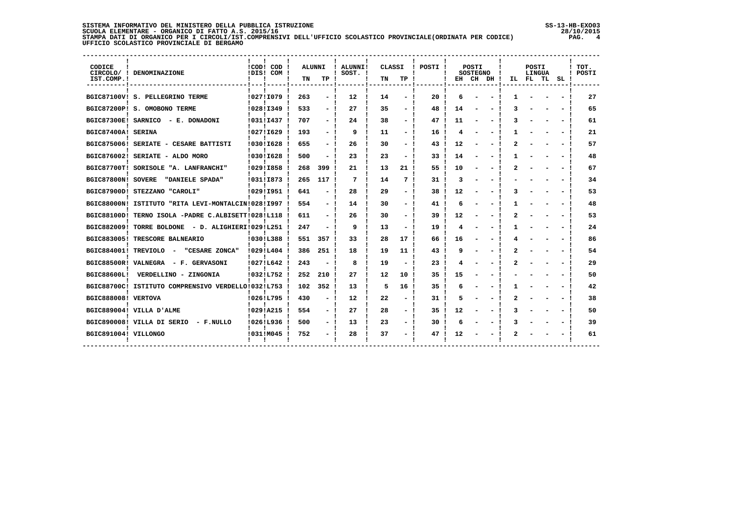| SISTEMA INFORMATIVO DEL MINISTERO DELLA PUBBLICA ISTRUZIONE                                                    | $SS-13-HB-EXOO3$ |
|----------------------------------------------------------------------------------------------------------------|------------------|
| SCUOLA ELEMENTARE - ORGANICO DI FATTO A.S. 2015/16                                                             | 28/10/2015       |
| STAMPA DATI DI ORGANICO PER I CIRCOLI/IST.COMPRENSIVI DELL'UFFICIO SCOLASTICO PROVINCIALE(ORDINATA PER CODICE) | PAG.             |
| UFFICIO SCOLASTICO PROVINCIALE DI BERGAMO                                                                      |                  |

| SS-13-HB-EX003 |   |
|----------------|---|
| 28/10/2015     |   |
| PAG.           | 4 |

| CODICE<br>IST.COMP.! | CIRCOLO/ ! DENOMINAZIONE                           |                | ! COD! COD!<br>IDIS! COM ! | <b>ALUNNI</b><br>TN | TP.                      | <b>ALUNNI!</b><br>SOST. ! | CLASSI<br>TN | TP                       | POSTI !         |    | POSTI<br><b>SOSTEGNO</b><br>EH CH DH ! |  | POSTI<br>LINGUA<br>IL FL TL SL! |  | $!$ TOT.<br>! POSTI |
|----------------------|----------------------------------------------------|----------------|----------------------------|---------------------|--------------------------|---------------------------|--------------|--------------------------|-----------------|----|----------------------------------------|--|---------------------------------|--|---------------------|
|                      | BGIC87100V! S. PELLEGRINO TERME                    |                | 102711079                  | 263                 |                          | $12 \overline{ }$         | 14           | - !                      | 20              | 6  |                                        |  |                                 |  | 27                  |
|                      | BGIC87200P! S. OMOBONO TERME                       |                | !028!I349                  | 533                 | $\sim$                   | 27                        | 35           | $-1$                     | 48              | 14 |                                        |  |                                 |  | 65                  |
|                      | BGIC87300E! SARNICO - E. DONADONI                  |                | !031!I437                  | 707                 | $\sim$                   | 24                        | 38           | $-1$                     | 47              | 11 |                                        |  |                                 |  | 61                  |
| BGIC87400A! SERINA   |                                                    |                | !027!I629                  | 193                 | $\overline{\phantom{0}}$ | 9                         | 11           | $-1$                     | 16              | 4  |                                        |  |                                 |  | 21                  |
|                      | BGIC875006! SERIATE - CESARE BATTISTI              |                | !030!I628                  | 655                 | $\sim$                   | 26                        | 30           | $-1$                     | 43              | 12 |                                        |  |                                 |  | 57                  |
|                      | BGIC876002! SERIATE - ALDO MORO                    |                | !030!I628                  | 500                 | $\sim$                   | 23                        | 23           | - 1                      | 33 <sub>1</sub> | 14 |                                        |  |                                 |  | 48                  |
|                      | BGIC87700T! SORISOLE "A. LANFRANCHI"               |                | 10291I858                  | 268                 | 399                      | 21                        | 13           | 21                       | 55              | 10 |                                        |  |                                 |  | 67                  |
|                      | BGIC87800N! SOVERE "DANIELE SPADA"                 |                | !031!I873 !                | 265                 | 117                      | 7                         | 14           | 7                        | 31              | 3  |                                        |  |                                 |  | 34                  |
|                      | BGIC87900D! STEZZANO "CAROLI"                      |                | 10291I951                  | 641                 |                          | 28                        | 29           | - !                      | 38              | 12 |                                        |  |                                 |  | 53                  |
|                      | BGIC88000N! ISTITUTO "RITA LEVI-MONTALCIN!028!I997 |                |                            | 554                 | - !                      | 14                        | 30           | $-1$                     | 41              | 6  |                                        |  |                                 |  | 48                  |
|                      | BGIC88100D! TERNO ISOLA -PADRE C.ALBISETT!028!L118 |                |                            | 611                 |                          | 26                        | 30           | $-1$                     | 39              | 12 |                                        |  |                                 |  | 53                  |
|                      | BGIC882009! TORRE BOLDONE - D. ALIGHIERI!029!L251  |                |                            | 247                 | $\overline{\phantom{0}}$ | 9                         | 13           | $-1$                     | 19              | 4  |                                        |  |                                 |  | 24                  |
|                      | BGIC883005! TRESCORE BALNEARIO                     |                | !030!L388                  | 551                 | 357                      | 33                        | 28           | 17                       | 66              | 16 |                                        |  |                                 |  | 86                  |
|                      | BGIC884001! TREVIOLO -<br>"CESARE ZONCA"           |                | $10291L404$ !              | 386                 | 251                      | 18                        | 19           | 11 !                     | 43              | ٩  |                                        |  |                                 |  | 54                  |
|                      | BGIC88500R! VALNEGRA - F. GERVASONI                |                | !027!L642                  | 243                 |                          | 8                         | 19           | $\overline{\phantom{0}}$ | 23              |    |                                        |  |                                 |  | 29                  |
|                      | BGIC88600L! VERDELLINO - ZINGONIA                  |                | !032!L752                  | 252                 | 210                      | 27                        | 12           | 10                       | 35              | 15 |                                        |  |                                 |  | 50                  |
|                      | BGIC88700C! ISTITUTO COMPRENSIVO VERDELLO!032!L753 |                |                            | 102                 | 352                      | 13                        | 5            | 16                       | 35              |    |                                        |  |                                 |  | 42                  |
| BGIC888008! VERTOVA  |                                                    |                | !026!L795 !                | 430                 | $\overline{\phantom{0}}$ | 12                        | 22           | $-1$                     | 31              | 5  |                                        |  |                                 |  | 38                  |
|                      | BGIC889004! VILLA D'ALME                           |                | !029!A215                  | 554                 | - !                      | 27                        | 28           | $-1$                     | 35              | 12 |                                        |  |                                 |  | 50                  |
|                      | BGIC890008! VILLA DI SERIO - F.NULLO               |                | !026!L936 !                | 500                 | $-1$                     | 13                        | 23           | $-1$                     | 30              | 6  |                                        |  |                                 |  | 39                  |
| BGIC891004! VILLONGO |                                                    | $\blacksquare$ | !031!M045                  | 752                 | - !                      | 28                        | 37           | $-1$                     | 47              | 12 |                                        |  |                                 |  | 61                  |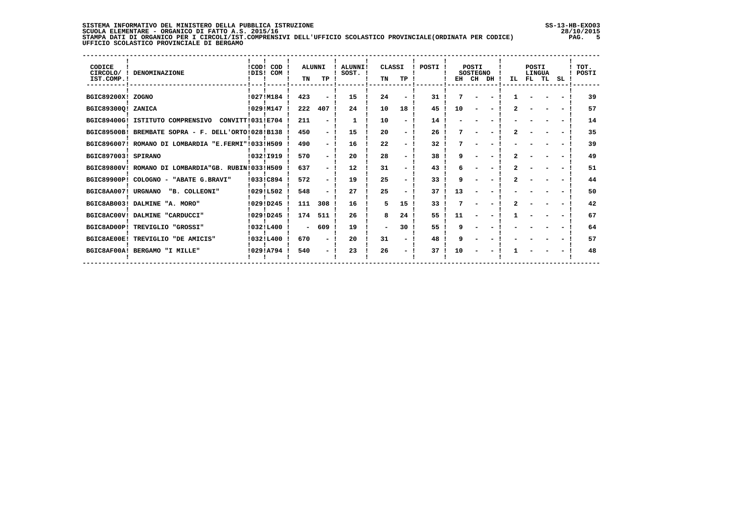### **SISTEMA INFORMATIVO DEL MINISTERO DELLA PUBBLICA ISTRUZIONE SS-13-HB-EXO03 SCUOLA ELEMENTARE - ORGANICO DI FATTO A.S. 2015/16 28/10/2015 STAMPA DATI DI ORGANICO PER I CIRCOLI/IST.COMPRENSIVI DELL'UFFICIO SCOLASTICO PROVINCIALE(ORDINATA PER CODICE) PAG. 5 UFFICIO SCOLASTICO PROVINCIALE DI BERGAMO**

| CODICE<br>CIRCOLO/ !<br>IST.COMP. ! | DENOMINAZIONE                                        | !COD! COD<br>!DIS! COM ! | TN     | <b>ALUNNI</b><br>TP | <b>ALUNNI!</b><br>SOST. ! | CLASSI<br>TN             | TP | POSTI | EH | <b>POSTI</b><br><b>SOSTEGNO</b><br>CH | DH | IL. | POSTI<br>LINGUA<br>FL TL | SL | TOT.<br>POSTI |
|-------------------------------------|------------------------------------------------------|--------------------------|--------|---------------------|---------------------------|--------------------------|----|-------|----|---------------------------------------|----|-----|--------------------------|----|---------------|
| BGIC89200X! ZOGNO                   |                                                      | !027!M184                | 423    |                     | 15                        | 24                       |    | 31    | 7  |                                       |    |     |                          |    | 39            |
| BGIC89300Q! ZANICA                  |                                                      | !029!M147                | 222    | 407                 | 24                        | 10                       | 18 | 45    | 10 |                                       |    |     |                          |    | 57            |
|                                     | BGIC89400G! ISTITUTO COMPRENSIVO<br>CONVITT!031!E704 |                          | 211    |                     | -1                        | 10                       |    | 14    |    |                                       |    |     |                          |    | 14            |
|                                     | BGIC89500B! BREMBATE SOPRA - F. DELL'ORTO!028!B138   |                          | 450    |                     | 15                        | 20                       |    | 26    |    |                                       |    |     |                          |    | 35            |
|                                     | BGIC896007! ROMANO DI LOMBARDIA "E.FERMI"!033!H509   |                          | 490    |                     | 16                        | 22                       |    | 32    |    |                                       |    |     |                          |    | 39            |
| BGIC897003! SPIRANO                 |                                                      | !032!I919                | 570    |                     | 20                        | 28                       |    | 38    |    |                                       |    |     |                          |    | 49            |
|                                     | BGIC89800V! ROMANO DI LOMBARDIA"GB. RUBIN!033!H509   |                          | 637    |                     | 12                        | 31                       |    | 43    |    |                                       |    |     |                          |    | 51            |
|                                     | BGIC89900P! COLOGNO - "ABATE G.BRAVI"                | !033!C894                | 572    |                     | 19                        | 25                       |    | 33    | q  |                                       |    |     |                          |    | 44            |
| BGIC8AA007! URGNANO                 | "B. COLLEONI"                                        | !029!L502                | 548    |                     | 27                        | 25                       |    | 37    | 13 |                                       |    |     |                          |    | 50            |
|                                     | BGIC8AB003! DALMINE "A. MORO"                        | !029!D245                | 111    | 308                 | 16                        | 5                        | 15 | 33    |    |                                       |    |     |                          |    | 42            |
|                                     | BGIC8AC00V! DALMINE "CARDUCCI"                       | !029!D245                | 174    | 511                 | 26                        | 8                        | 24 | 55    | 11 |                                       |    |     |                          |    | 67            |
|                                     | BGIC8AD00P! TREVIGLIO "GROSSI"                       | !032!L400                | $\sim$ | 609                 | 19                        | $\overline{\phantom{0}}$ | 30 | 55    | q  |                                       |    |     |                          |    | 64            |
| BGIC8AE00E!                         | TREVIGLIO "DE AMICIS"                                | 10321L400                | 670    |                     | 20                        | 31                       |    | 48    | a  |                                       |    |     |                          |    | 57            |
|                                     | BGIC8AF00A! BERGAMO "I MILLE"                        | 10291A794                | 540    |                     | 23                        | 26                       |    | 37    | 10 |                                       |    |     |                          |    | 48            |
|                                     |                                                      |                          |        |                     |                           |                          |    |       |    |                                       |    |     |                          |    |               |